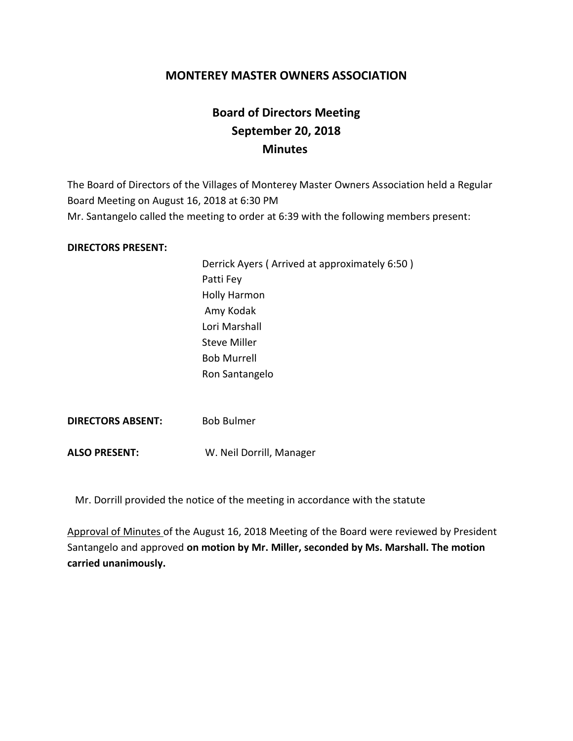## **MONTEREY MASTER OWNERS ASSOCIATION**

# **Board of Directors Meeting September 20, 2018 Minutes**

The Board of Directors of the Villages of Monterey Master Owners Association held a Regular Board Meeting on August 16, 2018 at 6:30 PM Mr. Santangelo called the meeting to order at 6:39 with the following members present:

#### **DIRECTORS PRESENT:**

Derrick Ayers ( Arrived at approximately 6:50 ) Patti Fey Holly Harmon Amy Kodak Lori Marshall Steve Miller Bob Murrell Ron Santangelo

**DIRECTORS ABSENT:** Bob Bulmer

**ALSO PRESENT:** W. Neil Dorrill, Manager

Mr. Dorrill provided the notice of the meeting in accordance with the statute

Approval of Minutes of the August 16, 2018 Meeting of the Board were reviewed by President Santangelo and approved **on motion by Mr. Miller, seconded by Ms. Marshall. The motion carried unanimously.**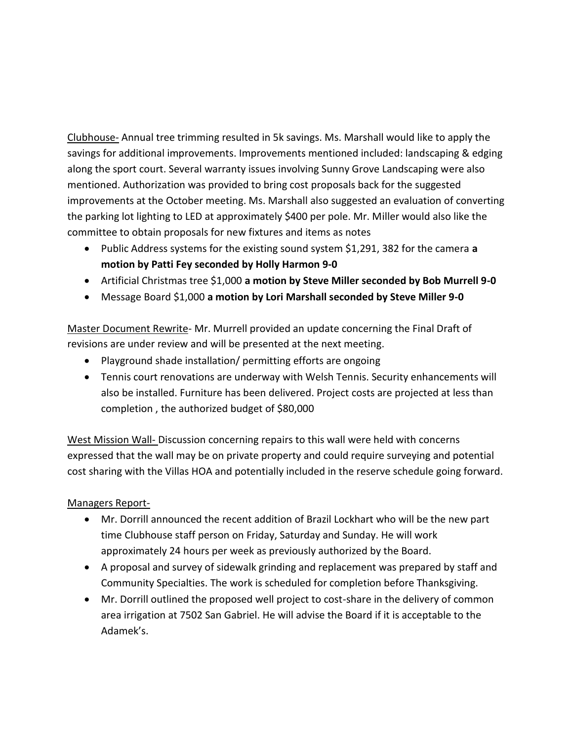Clubhouse- Annual tree trimming resulted in 5k savings. Ms. Marshall would like to apply the savings for additional improvements. Improvements mentioned included: landscaping & edging along the sport court. Several warranty issues involving Sunny Grove Landscaping were also mentioned. Authorization was provided to bring cost proposals back for the suggested improvements at the October meeting. Ms. Marshall also suggested an evaluation of converting the parking lot lighting to LED at approximately \$400 per pole. Mr. Miller would also like the committee to obtain proposals for new fixtures and items as notes

- Public Address systems for the existing sound system \$1,291, 382 for the camera **a motion by Patti Fey seconded by Holly Harmon 9-0**
- Artificial Christmas tree \$1,000 **a motion by Steve Miller seconded by Bob Murrell 9-0**
- Message Board \$1,000 **a motion by Lori Marshall seconded by Steve Miller 9-0**

Master Document Rewrite- Mr. Murrell provided an update concerning the Final Draft of revisions are under review and will be presented at the next meeting.

- Playground shade installation/ permitting efforts are ongoing
- Tennis court renovations are underway with Welsh Tennis. Security enhancements will also be installed. Furniture has been delivered. Project costs are projected at less than completion , the authorized budget of \$80,000

West Mission Wall- Discussion concerning repairs to this wall were held with concerns expressed that the wall may be on private property and could require surveying and potential cost sharing with the Villas HOA and potentially included in the reserve schedule going forward.

### Managers Report-

- Mr. Dorrill announced the recent addition of Brazil Lockhart who will be the new part time Clubhouse staff person on Friday, Saturday and Sunday. He will work approximately 24 hours per week as previously authorized by the Board.
- A proposal and survey of sidewalk grinding and replacement was prepared by staff and Community Specialties. The work is scheduled for completion before Thanksgiving.
- Mr. Dorrill outlined the proposed well project to cost-share in the delivery of common area irrigation at 7502 San Gabriel. He will advise the Board if it is acceptable to the Adamek's.